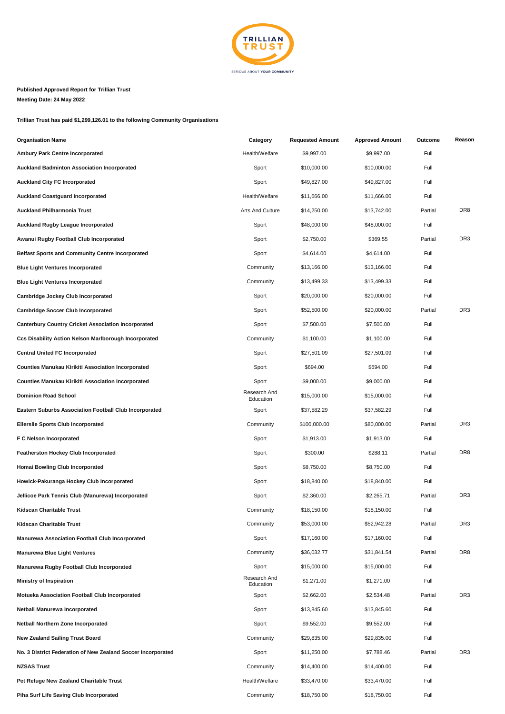

## **Published Approved Report for Trillian Trust Meeting Date: 24 May 2022**

**Trillian Trust has paid \$1,299,126.01 to the following Community Organisations**

| <b>Organisation Name</b>                                      | Category                  | <b>Requested Amount</b> | <b>Approved Amount</b> | Outcome | Reason          |
|---------------------------------------------------------------|---------------------------|-------------------------|------------------------|---------|-----------------|
| <b>Ambury Park Centre Incorporated</b>                        | Health/Welfare            | \$9,997.00              | \$9,997.00             | Full    |                 |
| <b>Auckland Badminton Association Incorporated</b>            | Sport                     | \$10,000.00             | \$10,000.00            | Full    |                 |
| <b>Auckland City FC Incorporated</b>                          | Sport                     | \$49,827.00             | \$49,827.00            | Full    |                 |
| <b>Auckland Coastguard Incorporated</b>                       | Health/Welfare            | \$11,666.00             | \$11,666.00            | Full    |                 |
| <b>Auckland Philharmonia Trust</b>                            | Arts And Culture          | \$14,250.00             | \$13,742.00            | Partial | DR <sub>8</sub> |
| <b>Auckland Rugby League Incorporated</b>                     | Sport                     | \$48,000.00             | \$48,000.00            | Full    |                 |
| Awanui Rugby Football Club Incorporated                       | Sport                     | \$2,750.00              | \$369.55               | Partial | DR <sub>3</sub> |
| <b>Belfast Sports and Community Centre Incorporated</b>       | Sport                     | \$4,614.00              | \$4,614.00             | Full    |                 |
| <b>Blue Light Ventures Incorporated</b>                       | Community                 | \$13,166.00             | \$13,166.00            | Full    |                 |
| <b>Blue Light Ventures Incorporated</b>                       | Community                 | \$13,499.33             | \$13,499.33            | Full    |                 |
| Cambridge Jockey Club Incorporated                            | Sport                     | \$20,000.00             | \$20,000.00            | Full    |                 |
| <b>Cambridge Soccer Club Incorporated</b>                     | Sport                     | \$52,500.00             | \$20,000.00            | Partial | DR <sub>3</sub> |
| <b>Canterbury Country Cricket Association Incorporated</b>    | Sport                     | \$7,500.00              | \$7,500.00             | Full    |                 |
| <b>Ccs Disability Action Nelson Marlborough Incorporated</b>  | Community                 | \$1,100.00              | \$1,100.00             | Full    |                 |
| <b>Central United FC Incorporated</b>                         | Sport                     | \$27,501.09             | \$27,501.09            | Full    |                 |
| <b>Counties Manukau Kirikiti Association Incorporated</b>     | Sport                     | \$694.00                | \$694.00               | Full    |                 |
| <b>Counties Manukau Kirikiti Association Incorporated</b>     | Sport                     | \$9,000.00              | \$9,000.00             | Full    |                 |
| <b>Dominion Road School</b>                                   | Research And<br>Education | \$15,000.00             | \$15,000.00            | Full    |                 |
| <b>Eastern Suburbs Association Football Club Incorporated</b> | Sport                     | \$37,582.29             | \$37,582.29            | Full    |                 |
| <b>Ellerslie Sports Club Incorporated</b>                     | Community                 | \$100,000.00            | \$80,000.00            | Partial | DR <sub>3</sub> |
| F C Nelson Incorporated                                       | Sport                     | \$1,913.00              | \$1,913.00             | Full    |                 |
| <b>Featherston Hockey Club Incorporated</b>                   | Sport                     | \$300.00                | \$288.11               | Partial | DR <sub>8</sub> |
| Homai Bowling Club Incorporated                               | Sport                     | \$8,750.00              | \$8,750.00             | Full    |                 |
| Howick-Pakuranga Hockey Club Incorporated                     | Sport                     | \$18,840.00             | \$18,840.00            | Full    |                 |
| Jellicoe Park Tennis Club (Manurewa) Incorporated             | Sport                     | \$2,360.00              | \$2,265.71             | Partial | DR <sub>3</sub> |
| Kidscan Charitable Trust                                      | Community                 | \$18,150.00             | \$18,150.00            | Full    |                 |
| <b>Kidscan Charitable Trust</b>                               | Community                 | \$53,000.00             | \$52,942.28            | Partial | DR <sub>3</sub> |
| Manurewa Association Football Club Incorporated               | Sport                     | \$17,160.00             | \$17,160.00            | Full    |                 |
| <b>Manurewa Blue Light Ventures</b>                           | Community                 | \$36,032.77             | \$31,841.54            | Partial | DR <sub>8</sub> |
| Manurewa Rugby Football Club Incorporated                     | Sport                     | \$15,000.00             | \$15,000.00            | Full    |                 |
| <b>Ministry of Inspiration</b>                                | Research And<br>Education | \$1,271.00              | \$1,271.00             | Full    |                 |
| Motueka Association Football Club Incorporated                | Sport                     | \$2,662.00              | \$2,534.48             | Partial | DR <sub>3</sub> |
| Netball Manurewa Incorporated                                 | Sport                     | \$13,845.60             | \$13,845.60            | Full    |                 |
| Netball Northern Zone Incorporated                            | Sport                     | \$9,552.00              | \$9,552.00             | Full    |                 |
| <b>New Zealand Sailing Trust Board</b>                        | Community                 | \$29,835.00             | \$29,835.00            | Full    |                 |
| No. 3 District Federation of New Zealand Soccer Incorporated  | Sport                     | \$11,250.00             | \$7,788.46             | Partial | DR <sub>3</sub> |
| <b>NZSAS Trust</b>                                            | Community                 | \$14,400.00             | \$14,400.00            | Full    |                 |
| Pet Refuge New Zealand Charitable Trust                       | Health/Welfare            | \$33,470.00             | \$33,470.00            | Full    |                 |
| Piha Surf Life Saving Club Incorporated                       | Community                 | \$18,750.00             | \$18,750.00            | Full    |                 |